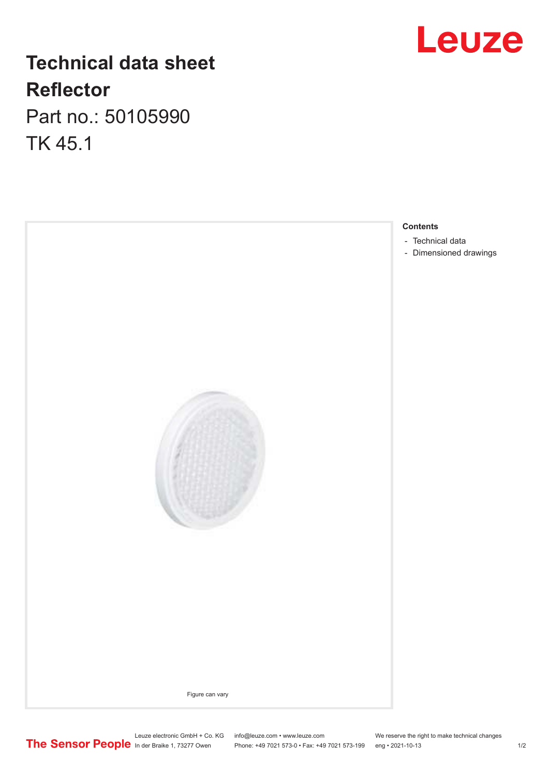## **Technical data sheet Reflector**

Part no.: 50105990 TK 45.1





Leuze electronic GmbH + Co. KG info@leuze.com • www.leuze.com We reserve the right to make technical changes